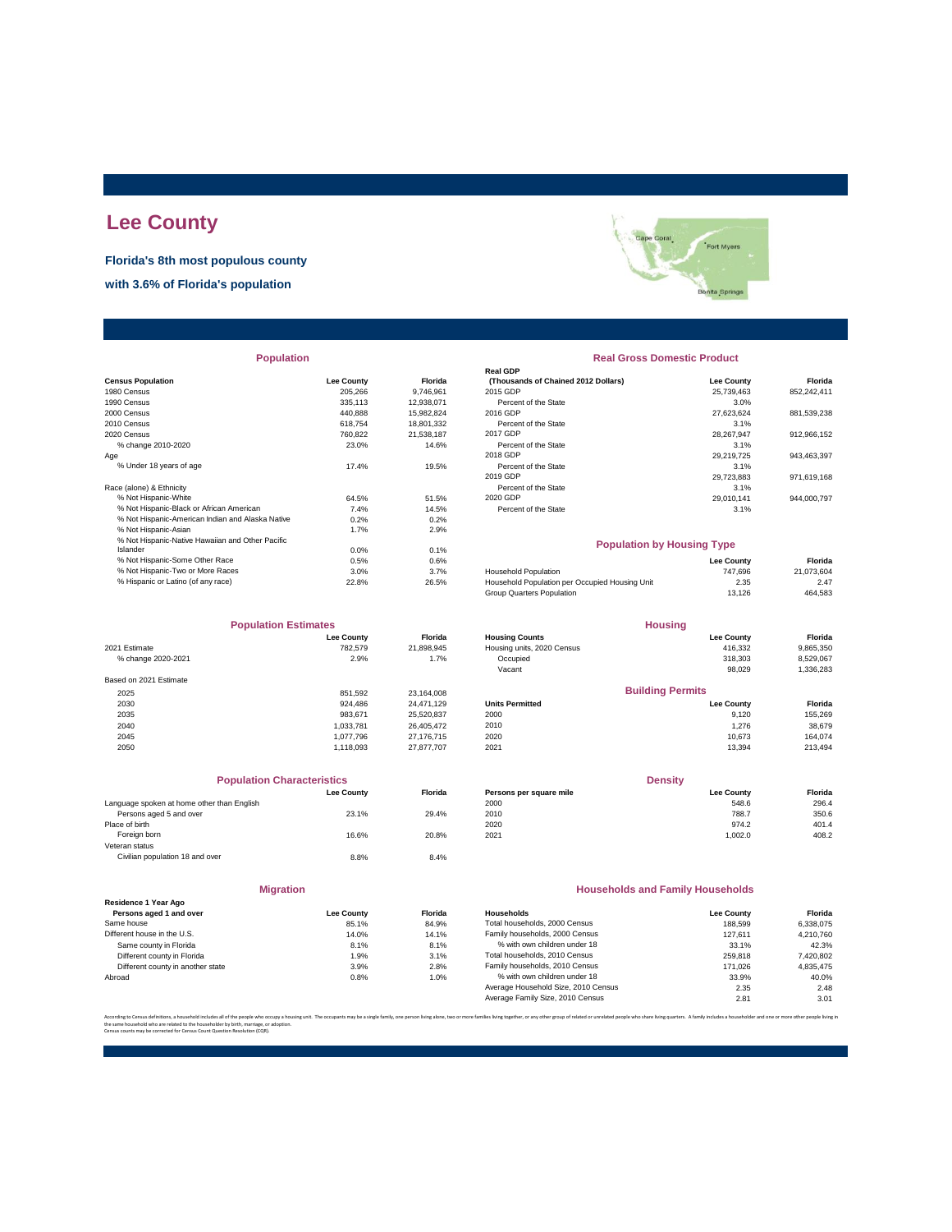## **Lee County**

**Florida's 8th most populous county**

**with 3.6% of Florida's population**

|                                                  |                   |                | кеа чиг                                        |                   |             |
|--------------------------------------------------|-------------------|----------------|------------------------------------------------|-------------------|-------------|
| <b>Census Population</b>                         | <b>Lee County</b> | <b>Florida</b> | (Thousands of Chained 2012 Dollars)            | Lee County        | Florida     |
| 1980 Census                                      | 205,266           | 9,746,961      | 2015 GDP                                       | 25,739,463        | 852,242,411 |
| 1990 Census                                      | 335,113           | 12.938.071     | Percent of the State                           | 3.0%              |             |
| 2000 Census                                      | 440.888           | 15,982,824     | 2016 GDP                                       | 27.623.624        | 881,539,238 |
| 2010 Census                                      | 618.754           | 18,801,332     | Percent of the State                           | 3.1%              |             |
| 2020 Census                                      | 760,822           | 21,538,187     | 2017 GDP                                       | 28,267,947        | 912,966,152 |
| % change 2010-2020                               | 23.0%             | 14.6%          | Percent of the State                           | 3.1%              |             |
| Age                                              |                   |                | 2018 GDP                                       | 29,219,725        | 943,463,397 |
| % Under 18 years of age                          | 17.4%             | 19.5%          | Percent of the State                           | 3.1%              |             |
|                                                  |                   |                | 2019 GDP                                       | 29.723.883        | 971,619,168 |
| Race (alone) & Ethnicity                         |                   |                | Percent of the State                           | 3.1%              |             |
| % Not Hispanic-White                             | 64.5%             | 51.5%          | 2020 GDP                                       | 29.010.141        | 944,000,797 |
| % Not Hispanic-Black or African American         | 7.4%              | 14.5%          | Percent of the State                           | 3.1%              |             |
| % Not Hispanic-American Indian and Alaska Native | 0.2%              | 0.2%           |                                                |                   |             |
| % Not Hispanic-Asian                             | 1.7%              | 2.9%           |                                                |                   |             |
| % Not Hispanic-Native Hawaiian and Other Pacific |                   |                | <b>Population by Housing Type</b>              |                   |             |
| Islander                                         | 0.0%              | 0.1%           |                                                |                   |             |
| % Not Hispanic-Some Other Race                   | 0.5%              | 0.6%           |                                                | <b>Lee County</b> | Florida     |
| % Not Hispanic-Two or More Races                 | 3.0%              | 3.7%           | <b>Household Population</b>                    | 747,696           | 21,073,604  |
| % Hispanic or Latino (of any race)               | 22.8%             | 26.5%          | Household Population per Occupied Housing Unit | 2.35              | 2.47        |
|                                                  |                   |                |                                                |                   |             |

|                        | <b>Population Estimates</b> |            |
|------------------------|-----------------------------|------------|
|                        | <b>Lee County</b>           | Florida    |
| 2021 Estimate          | 782.579                     | 21,898,945 |
| % change 2020-2021     | 2.9%                        | 1.7%       |
| Based on 2021 Estimate |                             |            |
| 2025                   | 851.592                     | 23,164,008 |
| 2030                   | 924.486                     | 24,471,129 |
| 2035                   | 983.671                     | 25.520.837 |
| 2040                   | 1.033.781                   | 26.405.472 |
| 2045                   | 1,077,796                   | 27.176.715 |
| 2050                   | 1.118.093                   | 27.877.707 |

| <b>Population Characteristics</b> |                |
|-----------------------------------|----------------|
| <b>Lee County</b>                 | <b>Florida</b> |
|                                   |                |
| 23.1%                             | 29.4%          |
|                                   |                |
| 16.6%                             | 20.8%          |
|                                   |                |
| 8.8%                              | 8.4%           |
|                                   |                |
|                                   |                |

| <b>Migration</b>                  |                   |         | <b>Households and Family Households</b> |                   |           |
|-----------------------------------|-------------------|---------|-----------------------------------------|-------------------|-----------|
| Residence 1 Year Ago              |                   |         |                                         |                   |           |
| Persons aged 1 and over           | <b>Lee County</b> | Florida | Households                              | <b>Lee County</b> | Florida   |
| Same house                        | 85.1%             | 84.9%   | Total households, 2000 Census           | 188,599           | 6.338.075 |
| Different house in the U.S.       | 14.0%             | 14.1%   | Family households, 2000 Census          | 127.611           | 4.210.760 |
| Same county in Florida            | 8.1%              | 8.1%    | % with own children under 18            | 33.1%             | 42.3%     |
| Different county in Florida       | 1.9%              | 3.1%    | Total households, 2010 Census           | 259,818           | 7,420,802 |
| Different county in another state | 3.9%              | 2.8%    | Family households, 2010 Census          | 171.026           | 4.835.475 |
| Abroad                            | 0.8%              | 1.0%    | % with own children under 18            | 33.9%             | 40.0%     |
|                                   |                   |         | Average Household Size, 2010 Census     | 2.35              | 2.48      |
|                                   |                   |         | Average Family Size, 2010 Census        | 2.81              | 3.01      |



| <b>Population</b>                                |                   |                | <b>Real Gross Domestic Product</b>             |                   |             |  |
|--------------------------------------------------|-------------------|----------------|------------------------------------------------|-------------------|-------------|--|
|                                                  |                   |                | <b>Real GDP</b>                                |                   |             |  |
| <b>Census Population</b>                         | <b>Lee County</b> | Florida        | (Thousands of Chained 2012 Dollars)            | <b>Lee County</b> | Florida     |  |
| 1980 Census                                      | 205,266           | 9,746,961      | 2015 GDP                                       | 25,739,463        | 852,242,411 |  |
| 1990 Census                                      | 335.113           | 12,938,071     | Percent of the State                           | 3.0%              |             |  |
| 2000 Census                                      | 440,888           | 15,982,824     | 2016 GDP                                       | 27,623,624        | 881,539,238 |  |
| 2010 Census                                      | 618,754           | 18,801,332     | Percent of the State                           | 3.1%              |             |  |
| 2020 Census                                      | 760,822           | 21,538,187     | 2017 GDP                                       | 28,267,947        | 912,966,152 |  |
| % change 2010-2020                               | 23.0%             | 14.6%          | Percent of the State                           | 3.1%              |             |  |
| Age                                              |                   |                | 2018 GDP                                       | 29,219,725        | 943,463,397 |  |
| % Under 18 years of age                          | 17.4%             | 19.5%          | Percent of the State                           | 3.1%              |             |  |
|                                                  |                   |                | 2019 GDP                                       | 29.723.883        | 971,619,168 |  |
| Race (alone) & Ethnicity                         |                   |                | Percent of the State                           | 3.1%              |             |  |
| % Not Hispanic-White                             | 64.5%             | 51.5%          | 2020 GDP                                       | 29.010.141        | 944,000,797 |  |
| % Not Hispanic-Black or African American         | 7.4%              | 14.5%          | Percent of the State                           | 3.1%              |             |  |
| % Not Hispanic-American Indian and Alaska Native | 0.2%              | 0.2%           |                                                |                   |             |  |
| % Not Hispanic-Asian                             | 1.7%              | 2.9%           |                                                |                   |             |  |
| % Not Hispanic-Native Hawaiian and Other Pacific |                   |                |                                                |                   |             |  |
| Islander                                         | 0.0%              | 0.1%           | <b>Population by Housing Type</b>              |                   |             |  |
| % Not Hispanic-Some Other Race                   | 0.5%              | 0.6%           |                                                | <b>Lee County</b> | Florida     |  |
| % Not Hispanic-Two or More Races                 | 3.0%              | 3.7%           | <b>Household Population</b>                    | 747,696           | 21,073,604  |  |
| % Hispanic or Latino (of any race)               | 22.8%             | 26.5%          | Household Population per Occupied Housing Unit | 2.35              | 2.47        |  |
|                                                  |                   |                | Group Quarters Population                      | 13,126            | 464,583     |  |
|                                                  |                   |                |                                                |                   |             |  |
| <b>Population Estimates</b>                      |                   |                | <b>Housing</b>                                 |                   |             |  |
|                                                  | <b>Lee County</b> | Florida        | <b>Housing Counts</b>                          | <b>Lee County</b> | Florida     |  |
| 2021 Estimate                                    | 782,579           | 21,898,945     | Housing units, 2020 Census                     | 416,332           | 9,865,350   |  |
| % change 2020-2021                               | 2.9%              | 1.7%           | Occupied                                       | 318,303           | 8,529,067   |  |
|                                                  |                   |                | Vacant                                         | 98,029            | 1,336,283   |  |
| Based on 2021 Estimate                           |                   |                |                                                |                   |             |  |
| 2025                                             | 851,592           | 23,164,008     | <b>Building Permits</b>                        |                   |             |  |
| 2030                                             | 924,486           | 24,471,129     | <b>Units Permitted</b>                         | <b>Lee County</b> | Florida     |  |
| 2035                                             | 983,671           | 25,520,837     | 2000                                           | 9,120             | 155,269     |  |
| 2040                                             | 1,033,781         | 26,405,472     | 2010                                           | 1,276             | 38,679      |  |
| 2045                                             | 1,077,796         | 27,176,715     | 2020                                           | 10,673            | 164,074     |  |
| 2050                                             | 1,118,093         | 27,877,707     | 2021                                           | 13,394            | 213,494     |  |
|                                                  |                   |                |                                                |                   |             |  |
| <b>Population Characteristics</b>                |                   |                | <b>Density</b>                                 |                   |             |  |
|                                                  | <b>Lee County</b> | Florida        | Persons per square mile                        | <b>Lee County</b> | Florida     |  |
| Language spoken at home other than English       |                   |                | 2000                                           | 548.6             | 296.4       |  |
| Persons aged 5 and over                          | 23.1%             | 29.4%          | 2010                                           | 788.7             | 350.6       |  |
| Place of birth                                   |                   |                | 2020                                           | 974.2             | 401.4       |  |
| Foreign born                                     | 16.6%             | 20.8%          | 2021                                           | 1,002.0           | 408.2       |  |
| Veteran status                                   |                   |                |                                                |                   |             |  |
| Civilian population 18 and over                  | 8.8%              | 8.4%           |                                                |                   |             |  |
|                                                  |                   |                |                                                |                   |             |  |
| <b>Migration</b>                                 |                   |                | <b>Households and Family Households</b>        |                   |             |  |
| Residence 1 Year Ago                             |                   |                |                                                |                   |             |  |
| Persons aged 1 and over                          | <b>Lee County</b> | <b>Florida</b> | Households                                     | <b>Lee County</b> | Florida     |  |
| Same house                                       | 85.1%             | 84.9%          | Total households, 2000 Census                  | 188,599           | 6,338,075   |  |
| Different house in the U.S.                      | 14.0%             | 14.1%          | Family households, 2000 Census                 | 127,611           | 4,210,760   |  |
| Same county in Florida                           | 8.1%              | 8.1%           | % with own children under 18                   | 33.1%             | 42.3%       |  |
| Different countrie Florid                        | 1.09              | 2.10/          | Total households, 2010 Consu                   | 250.010           | 7.430.903   |  |

According to Census definitions, a household includes all of the people who occupy a housing unit. The occupants may be a single family, one person living back, two or more families living together, or any other group of r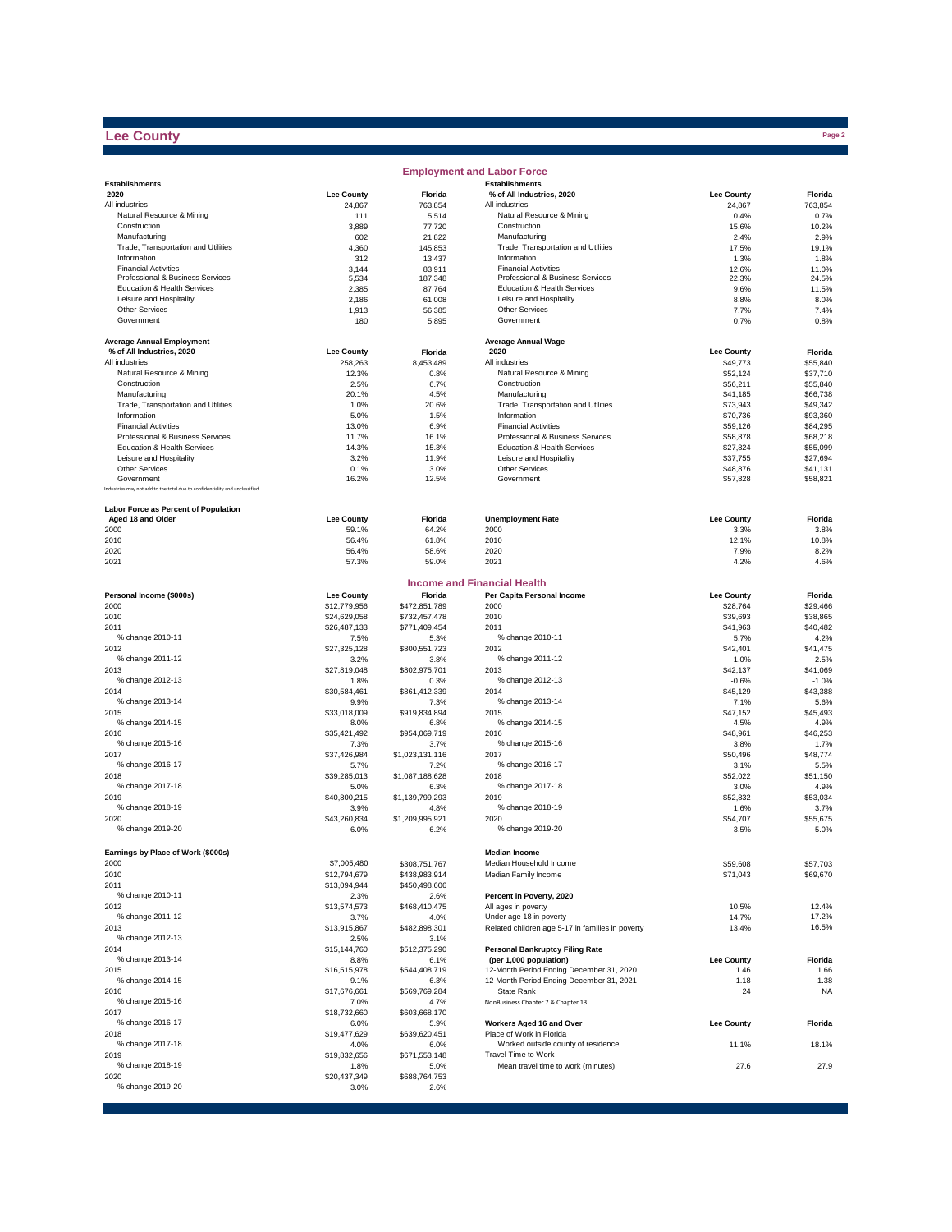## **Lee County**

|                                                                              |                      |                       | <b>Employment and Labor Force</b>                                           |                      |                      |
|------------------------------------------------------------------------------|----------------------|-----------------------|-----------------------------------------------------------------------------|----------------------|----------------------|
| <b>Establishments</b>                                                        |                      |                       | <b>Establishments</b>                                                       |                      |                      |
| 2020                                                                         | <b>Lee County</b>    | Florida               | % of All Industries, 2020                                                   | <b>Lee County</b>    | Florida              |
| All industries                                                               | 24,867               | 763,854               | All industries                                                              | 24,867               | 763,854              |
| Natural Resource & Mining<br>Construction                                    | 111<br>3,889         | 5,514<br>77,720       | Natural Resource & Mining<br>Construction                                   | 0.4%<br>15.6%        | 0.7%<br>10.2%        |
| Manufacturing                                                                | 602                  | 21,822                | Manufacturing                                                               | 2.4%                 | 2.9%                 |
| Trade, Transportation and Utilities                                          | 4,360                | 145,853               | Trade, Transportation and Utilities                                         | 17.5%                | 19.1%                |
| Information                                                                  | 312                  | 13,437                | Information                                                                 | 1.3%                 | 1.8%                 |
| <b>Financial Activities</b>                                                  | 3,144                | 83,911                | <b>Financial Activities</b>                                                 | 12.6%                | 11.0%                |
| Professional & Business Services                                             | 5,534                | 187,348               | Professional & Business Services                                            | 22.3%                | 24.5%                |
| Education & Health Services                                                  | 2,385                | 87,764                | Education & Health Services                                                 | 9.6%                 | 11.5%                |
| Leisure and Hospitality<br><b>Other Services</b>                             | 2,186                | 61,008                | Leisure and Hospitality<br>Other Services                                   | 8.8%                 | 8.0%                 |
| Government                                                                   | 1,913<br>180         | 56,385<br>5,895       | Government                                                                  | 7.7%<br>0.7%         | 7.4%<br>0.8%         |
|                                                                              |                      |                       |                                                                             |                      |                      |
| <b>Average Annual Employment</b>                                             |                      |                       | <b>Average Annual Wage</b>                                                  |                      |                      |
| % of All Industries, 2020                                                    | <b>Lee County</b>    | Florida               | 2020                                                                        | <b>Lee County</b>    | Florida              |
| All industries                                                               | 258,263              | 8,453,489             | All industries                                                              | \$49,773             | \$55,840             |
| Natural Resource & Mining                                                    | 12.3%                | 0.8%                  | Natural Resource & Mining                                                   | \$52,124             | \$37,710             |
| Construction                                                                 | 2.5%                 | 6.7%                  | Construction                                                                | \$56,211             | \$55,840             |
| Manufacturing                                                                | 20.1%                | 4.5%                  | Manufacturing                                                               | \$41,185             | \$66,738             |
| Trade, Transportation and Utilities                                          | 1.0%                 | 20.6%                 | Trade, Transportation and Utilities                                         | \$73,943             | \$49,342             |
| Information                                                                  | 5.0%                 | 1.5%                  | Information                                                                 | \$70,736             | \$93,360             |
| <b>Financial Activities</b>                                                  | 13.0%                | 6.9%                  | <b>Financial Activities</b>                                                 | \$59,126             | \$84,295             |
| Professional & Business Services<br>Education & Health Services              | 11.7%<br>14.3%       | 16.1%                 | Professional & Business Services<br>Education & Health Services             | \$58,878             | \$68,218<br>\$55,099 |
| Leisure and Hospitality                                                      | 3.2%                 | 15.3%<br>11.9%        | Leisure and Hospitality                                                     | \$27,824<br>\$37,755 | \$27,694             |
| <b>Other Services</b>                                                        | 0.1%                 | 3.0%                  | Other Services                                                              | \$48,876             | \$41,131             |
| Government                                                                   | 16.2%                | 12.5%                 | Government                                                                  | \$57,828             | \$58,821             |
| Industries may not add to the total due to confidentiality and unclassified. |                      |                       |                                                                             |                      |                      |
|                                                                              |                      |                       |                                                                             |                      |                      |
| Labor Force as Percent of Population                                         |                      |                       |                                                                             |                      |                      |
| Aged 18 and Older                                                            | <b>Lee County</b>    | Florida               | <b>Unemployment Rate</b>                                                    | <b>Lee County</b>    | Florida              |
| 2000                                                                         | 59.1%                | 64.2%                 | 2000                                                                        | 3.3%                 | 3.8%                 |
| 2010                                                                         | 56.4%                | 61.8%                 | 2010                                                                        | 12.1%                | 10.8%                |
| 2020<br>2021                                                                 | 56.4%<br>57.3%       | 58.6%<br>59.0%        | 2020<br>2021                                                                | 7.9%<br>4.2%         | 8.2%<br>4.6%         |
|                                                                              |                      |                       |                                                                             |                      |                      |
|                                                                              |                      |                       | <b>Income and Financial Health</b>                                          |                      |                      |
| Personal Income (\$000s)                                                     | <b>Lee County</b>    | Florida               | Per Capita Personal Income                                                  | <b>Lee County</b>    | Florida              |
| 2000                                                                         | \$12,779,956         | \$472,851,789         | 2000                                                                        | \$28,764             | \$29,466             |
| 2010                                                                         | \$24,629,058         | \$732,457,478         | 2010                                                                        | \$39,693             | \$38,865             |
| 2011                                                                         | \$26,487,133         | \$771,409,454         | 2011                                                                        | \$41,963             | \$40,482             |
| % change 2010-11                                                             | 7.5%                 | 5.3%                  | % change 2010-11                                                            | 5.7%                 | 4.2%                 |
| 2012                                                                         | \$27,325,128         | \$800,551,723         | 2012                                                                        | \$42,401             | \$41,475             |
| % change 2011-12                                                             | 3.2%                 | 3.8%                  | % change 2011-12                                                            | 1.0%                 | 2.5%                 |
| 2013                                                                         | \$27,819,048         | \$802,975,701         | 2013                                                                        | \$42,137             | \$41,069             |
| % change 2012-13                                                             | 1.8%                 | 0.3%                  | % change 2012-13                                                            | $-0.6%$              | $-1.0%$              |
| 2014                                                                         | \$30,584,461         | \$861,412,339         | 2014                                                                        | \$45,129             | \$43,388             |
| % change 2013-14                                                             | 9.9%                 | 7.3%                  | % change 2013-14                                                            | 7.1%                 | 5.6%                 |
| 2015<br>% change 2014-15                                                     | \$33,018,009         | \$919,834,894         | 2015<br>% change 2014-15                                                    | \$47,152             | \$45,493             |
| 2016                                                                         | 8.0%                 | 6.8%                  | 2016                                                                        | 4.5%                 | 4.9%<br>\$46,253     |
| % change 2015-16                                                             | \$35,421,492<br>7.3% | \$954,069,719<br>3.7% | % change 2015-16                                                            | \$48,961<br>3.8%     | 1.7%                 |
| 2017                                                                         | \$37,426,984         | \$1,023,131,116       | 2017                                                                        | \$50,496             | \$48,774             |
| % change 2016-17                                                             | 5.7%                 | 7.2%                  | % change 2016-17                                                            | 3.1%                 | 5.5%                 |
| 2018                                                                         | \$39,285,013         | \$1,087,188,628       | 2018                                                                        | \$52,022             | \$51,150             |
| % change 2017-18                                                             | 5.0%                 | 6.3%                  | % change 2017-18                                                            | 3.0%                 | 4.9%                 |
| 2019                                                                         | \$40,800,215         | \$1,139,799,293       | 2019                                                                        | \$52,832             | \$53,034             |
| % change 2018-19                                                             | 3.9%                 | 4.8%                  | % change 2018-19                                                            | 1.6%                 | 3.7%                 |
| 2020                                                                         | \$43,260,834         | \$1,209,995,921       | 2020                                                                        | \$54,707             | \$55,675             |
| % change 2019-20                                                             | 6.0%                 | 6.2%                  | % change 2019-20                                                            | 3.5%                 | 5.0%                 |
|                                                                              |                      |                       |                                                                             |                      |                      |
| Earnings by Place of Work (\$000s)                                           |                      |                       | <b>Median Income</b>                                                        |                      |                      |
| 2000                                                                         | \$7,005,480          | \$308,751,767         | Median Household Income                                                     | \$59,608             | \$57,703             |
| 2010                                                                         | \$12,794,679         | \$438,983,914         | Median Family Income                                                        | \$71,043             | \$69,670             |
| 2011                                                                         | \$13,094,944         | \$450,498,606         |                                                                             |                      |                      |
| % change 2010-11                                                             | 2.3%                 | 2.6%                  | Percent in Poverty, 2020                                                    |                      |                      |
| 2012                                                                         | \$13,574,573         | \$468,410,475         | All ages in poverty                                                         | 10.5%                | 12.4%<br>17.2%       |
| % change 2011-12<br>2013                                                     | 3.7%<br>\$13,915,867 | 4.0%<br>\$482,898,301 | Under age 18 in poverty<br>Related children age 5-17 in families in poverty | 14.7%<br>13.4%       | 16.5%                |
| % change 2012-13                                                             | 2.5%                 | 3.1%                  |                                                                             |                      |                      |
| 2014                                                                         | \$15,144,760         | \$512,375,290         | <b>Personal Bankruptcy Filing Rate</b>                                      |                      |                      |
| % change 2013-14                                                             | 8.8%                 | 6.1%                  | (per 1,000 population)                                                      | <b>Lee County</b>    | Florida              |
| 2015                                                                         | \$16,515,978         | \$544,408,719         | 12-Month Period Ending December 31, 2020                                    | 1.46                 | 1.66                 |
| % change 2014-15                                                             | 9.1%                 | 6.3%                  | 12-Month Period Ending December 31, 2021                                    | 1.18                 | 1.38                 |
| 2016                                                                         | \$17,676,661         | \$569,769,284         | State Rank                                                                  | 24                   | <b>NA</b>            |
| % change 2015-16                                                             | 7.0%                 | 4.7%                  | NonBusiness Chapter 7 & Chapter 13                                          |                      |                      |
| 2017                                                                         | \$18,732,660         | \$603,668,170         |                                                                             |                      |                      |
| % change 2016-17                                                             | 6.0%                 | 5.9%                  | Workers Aged 16 and Over                                                    | <b>Lee County</b>    | Florida              |
| 2018                                                                         | \$19,477,629         | \$639,620,451         | Place of Work in Florida                                                    |                      |                      |
| % change 2017-18                                                             | 4.0%                 | 6.0%                  | Worked outside county of residence                                          | 11.1%                | 18.1%                |
| 2019                                                                         | \$19,832,656         | \$671,553,148         | Travel Time to Work                                                         |                      |                      |
| % change 2018-19                                                             | 1.8%                 | 5.0%                  | Mean travel time to work (minutes)                                          | 27.6                 | 27.9                 |
| 2020                                                                         | \$20,437,349         | \$688,764,753         |                                                                             |                      |                      |
| % change 2019-20                                                             | 3.0%                 | 2.6%                  |                                                                             |                      |                      |